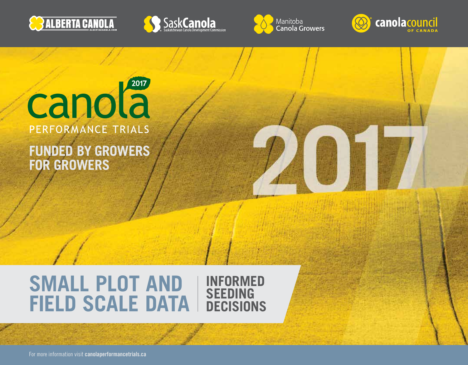







### canola<sup>2017</sup> PERFORMANCE TRIALS

**FUNDED BY GROWERS FOR GROWERS**

#### **SMALL PLOT AND FIELD SCALE DATA INFORMED SEEDING DECISIONS**

For more information visit **[canolaperformancetrials.ca](http://www.canolaperformancetrials.ca)**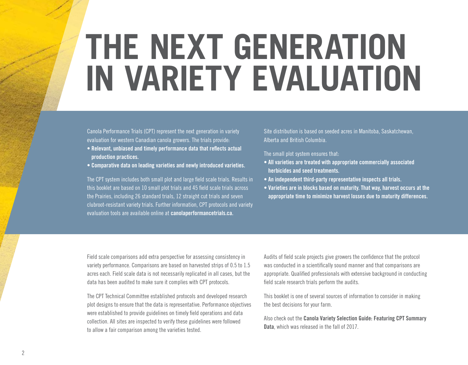## **THE NEXT GENERATION IN VARIETY EVALUATION**

Canola Performance Trials (CPT) represent the next generation in variety evaluation for western Canadian canola growers. The trials provide:

- **Relevant, unbiased and timely performance data that reflects actual production practices.**
- **Comparative data on leading varieties and newly introduced varieties.**

The CPT system includes both small plot and large field scale trials. Results in this booklet are based on 10 small plot trials and 45 field scale trials across the Prairies, including 26 standard trials, 12 straight cut trials and seven clubroot-resistant variety trials. Further information, CPT protocols and variety evaluation tools are available online at **[canolaperformancetrials.ca.](http://www.canolaperformancetrials.ca)**

Site distribution is based on seeded acres in Manitoba, Saskatchewan, Alberta and British Columbia.

The small plot system ensures that:

- **All varieties are treated with appropriate commercially associated herbicides and seed treatments.**
- **An independent third-party representative inspects all trials.**
- **Varieties are in blocks based on maturity. That way, harvest occurs at the appropriate time to minimize harvest losses due to maturity differences.**

Field scale comparisons add extra perspective for assessing consistency in variety performance. Comparisons are based on harvested strips of 0.5 to 1.5 acres each. Field scale data is not necessarily replicated in all cases, but the data has been audited to make sure it complies with CPT protocols.

The CPT Technical Committee established protocols and developed research plot designs to ensure that the data is representative. Performance objectives were established to provide guidelines on timely field operations and data collection. All sites are inspected to verify these guidelines were followed to allow a fair comparison among the varieties tested.

Audits of field scale projects give growers the confidence that the protocol was conducted in a scientifically sound manner and that comparisons are appropriate. Qualified professionals with extensive background in conducting field scale research trials perform the audits.

This booklet is one of several sources of information to consider in making the best decisions for your farm.

Also check out the **Canola Variety Selection Guide: Featuring CPT Summary Data**, which was released in the fall of 2017.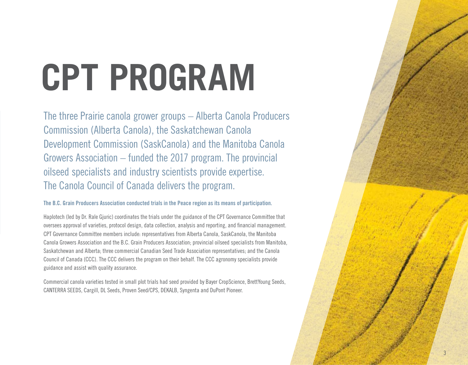# **CPT PROGRAM**

The three Prairie canola grower groups – Alberta Canola Producers Commission (Alberta Canola), the Saskatchewan Canola Development Commission (SaskCanola) and the Manitoba Canola Growers Association – funded the 2017 program. The provincial oilseed specialists and industry scientists provide expertise. The Canola Council of Canada delivers the program.

#### **The B.C. Grain Producers Association conducted trials in the Peace region as its means of participation.**

Haplotech (led by Dr. Rale Gjuric) coordinates the trials under the guidance of the CPT Governance Committee that oversees approval of varieties, protocol design, data collection, analysis and reporting, and financial management. CPT Governance Committee members include: representatives from Alberta Canola, SaskCanola, the Manitoba Canola Growers Association and the B.C. Grain Producers Association; provincial oilseed specialists from Manitoba, Saskatchewan and Alberta; three commercial Canadian Seed Trade Association representatives; and the Canola Council of Canada (CCC). The CCC delivers the program on their behalf. The CCC agronomy specialists provide guidance and assist with quality assurance.

Commercial canola varieties tested in small plot trials had seed provided by Bayer CropScience, BrettYoung Seeds, CANTERRA SEEDS, Cargill, DL Seeds, Proven Seed/CPS, DEKALB, Syngenta and DuPont Pioneer.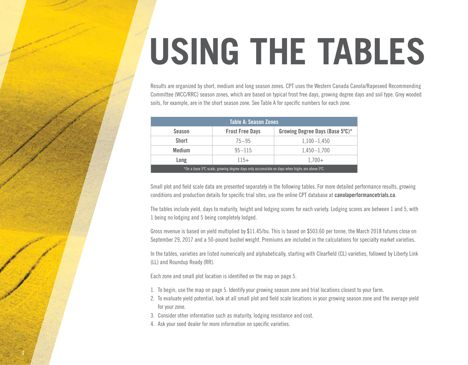## **USING THE TABLES**

Results are organized by short, medium and long season zones. CPT uses the Western Canada Canola/Rapeseed Recommending Committee (WCC/RRC) season zones, which are based on typical frost free days, growing degree days and soil type. Grey wooded soils, for example, are in the short season zone. See Table A for specific numbers for each zone.

| Table A: Season Zones                                                                          |                        |                                 |  |  |  |  |  |  |  |
|------------------------------------------------------------------------------------------------|------------------------|---------------------------------|--|--|--|--|--|--|--|
| <b>Season</b>                                                                                  | <b>Frost Free Days</b> | Growing Degree Days (Base 5°C)* |  |  |  |  |  |  |  |
| <b>Short</b>                                                                                   | $75 - 95$              | $1,100 - 1,450$                 |  |  |  |  |  |  |  |
| <b>Medium</b>                                                                                  | $95 - 115$             | $1,450 - 1,700$                 |  |  |  |  |  |  |  |
| $115+$<br>Long<br>$1.700+$                                                                     |                        |                                 |  |  |  |  |  |  |  |
| $*$ On a base 5°C scale, growing degree days only accumulate on days when highs are above 5°C. |                        |                                 |  |  |  |  |  |  |  |

Small plot and field scale data are presented separately in the following tables. For more detailed performance results, growing conditions and production details for specific trial sites, use the online CPT database at **[canolaperformancetrials.ca](http://www.canolaperformancetrials.ca)**.

The tables include yield, days to maturity, height and lodging scores for each variety. Lodging scores are between 1 and 5, with 1 being no lodging and 5 being completely lodged.

Gross revenue is based on yield multiplied by \$11.45/bu. This is based on \$503.60 per tonne, the March 2018 futures close on September 29, 2017 and a 50-pound bushel weight. Premiums are included in the calculations for specialty market varieties.

In the tables, varieties are listed numerically and alphabetically, starting with Clearfield (CL) varieties, followed by Liberty Link (LL) and Roundup Ready (RR).

Each zone and small plot location is identified on the map on page 5.

- 1. To begin, use the map on page 5. Identify your growing season zone and trial locations closest to your farm.
- 2. To evaluate yield potential, look at all small plot and field scale locations in your growing season zone and the average yield for your zone.
- 3. Consider other information such as maturity, lodging resistance and cost.
- 4. Ask your seed dealer for more information on specific varieties.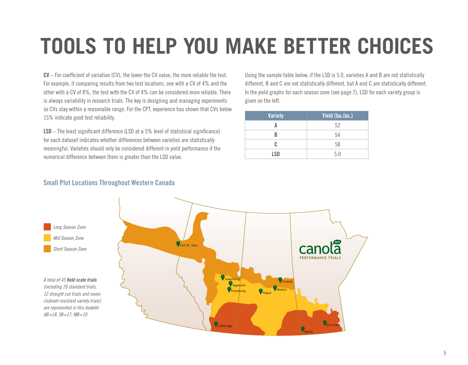### **TOOLS TO HELP YOU MAKE BETTER CHOICES**

**CV** – For coefficient of variation (CV), the lower the CV value, the more reliable the test. For example, if comparing results from two test locations, one with a CV of 4% and the other with a CV of 8%, the test with the CV of 4% can be considered more reliable. There is always variability in research trials. The key is designing and managing experiments so CVs stay within a reasonable range. For the CPT, experience has shown that CVs below 15% indicate good test reliability.

**LSD** – The least significant difference (LSD at a 5% level of statistical significance) for each dataset indicates whether differences between varieties are statistically meaningful. Varieties should only be considered different in yield performance if the numerical difference between them is greater than the LSD value.

Using the sample table below, if the LSD is 5.0, varieties A and B are not statistically different, B and C are not statistically different, but A and C are statistically different. In the yield graphs for each season zone (see page 7), LSD for each variety group is given on the left.

| <b>Variety</b> | Yield (bu./ac.) |
|----------------|-----------------|
|                | 52              |
| R              | 54              |
| C              | 58              |
| <b>LSD</b>     | 5.0             |

#### **Small Plot Locations Throughout Western Canada**

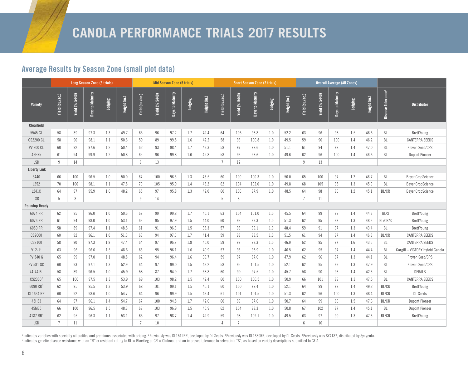#### **Average Results by Season Zone (small plot data)**

|                      | <b>Long Season Zone (3 trials)</b> |                |                  |         |              | <b>Mid Season Zone (5 trials)</b> |                |                  |         | <b>Short Season Zone (2 trials)</b> |                 |                       |                  | <b>Overall Average (All Zones)</b> |              |                 |                       |                  |         |              |                                |                                 |
|----------------------|------------------------------------|----------------|------------------|---------|--------------|-----------------------------------|----------------|------------------|---------|-------------------------------------|-----------------|-----------------------|------------------|------------------------------------|--------------|-----------------|-----------------------|------------------|---------|--------------|--------------------------------|---------------------------------|
| Variety              | Yield (bu./ac.)                    | Yield (% 5440) | Days to Maturity | Lodging | Height (in.) | Yield (bu./ac.)                   | Yield (% 5440) | Days to Maturity | Lodging | Height (in.)                        | Yield (bu./ac.) | <b>Yield (% 5440)</b> | Days to Maturity | Lodging                            | Height (in.) | Yield (bu./ac.) | <b>Yield (% 5440)</b> | Days to Maturity | Lodging | Height (in.) | Disease Tolerance <sup>5</sup> | <b>Distributor</b>              |
| Clearfield           |                                    |                |                  |         |              |                                   |                |                  |         |                                     |                 |                       |                  |                                    |              |                 |                       |                  |         |              |                                |                                 |
| 5545 CL              | 58                                 | 89             | 97.3             | 1.3     | 49.7         | 65                                | 96             | 97.2             | 1.7     | 42.4                                | 64              | 106                   | 98.8             | 1.0                                | 52.2         | 63              | 96                    | 98               | 1.5     | 46.6         | BL                             | BrettYoung                      |
| <b>CS2200 CL</b>     | 58                                 | 90             | 98.1             | 1.1     | 50.6         | 59                                | 89             | 99.8             | 1.6     | 42.2                                | 58              | 96                    | 100.8            | 1.0                                | 49.5         | 59              | 90                    | 100              | 1.4     | 46.2         | BL                             | <b>CANTERRA SEEDS</b>           |
| <b>PV 200 CL</b>     | 60                                 | 92             | 97.6             | 1.2     | 50.4         | 62                                | 93             | 98.4             | 1.7     | 43.3                                | 58              | 97                    | 98.6             | 1.0                                | 51.1         | 61              | 94                    | 98               | 1.4     | 47.0         | BL                             | Proven Seed/CPS                 |
| 46H75                | 61                                 | 94             | 99.9             | 1.2     | 50.8         | 65                                | 96             | 99.8             | 1.6     | 42.8                                | 58              | 96                    | 98.6             | 1.0                                | 49.6         | 62              | 96                    | 100              | 1.4     | 46.6         | BL                             | <b>Dupont Pioneer</b>           |
| <b>LSD</b>           | 9                                  | 14             |                  |         |              | 9                                 | 13             |                  |         |                                     | $\overline{7}$  | 12                    |                  |                                    |              | $\mathsf{q}$    | 13                    |                  |         |              |                                |                                 |
| <b>Liberty Link</b>  |                                    |                |                  |         |              |                                   |                |                  |         |                                     |                 |                       |                  |                                    |              |                 |                       |                  |         |              |                                |                                 |
| 5440                 | 66                                 | 100            | 96.5             | 1.0     | 50.0         | 67                                | 100            | 96.3             | 1.3     | 43.5                                | 60              | 100                   | 100.3            | 1.0                                | 50.0         | 65              | 100                   | 97               | 1.2     | 46.7         | BL                             | <b>Bayer CropScience</b>        |
| L252                 | 70                                 | 106            | 98.1             | 1.1     | 47.8         | 70                                | 105            | 95.9             | 1.4     | 43.2                                | 62              | 104                   | 102.0            | $1.0\,$                            | 49.8         | 68              | 105                   | 98               | 1.3     | 45.9         | BL                             | <b>Bayer CropScience</b>        |
| L241C                | 64                                 | 97             | 95.9             | 1.0     | 48.2         | 65                                | 97             | 95.8             | 1.3     | 42.0                                | 60              | 100                   | 97.9             | 1.0                                | 48.5         | 64              | 98                    | 96               | 1.2     | 45.1         | <b>BL/CR</b>                   | <b>Bayer CropScience</b>        |
| <b>LSD</b>           | 5                                  | 8              |                  |         |              | $\overline{9}$                    | 14             |                  |         |                                     | 5               | 8                     |                  |                                    |              | $\overline{7}$  | 11                    |                  |         |              |                                |                                 |
| <b>Roundup Ready</b> |                                    |                |                  |         |              |                                   |                |                  |         |                                     |                 |                       |                  |                                    |              |                 |                       |                  |         |              |                                |                                 |
| 6074 RR              | 62                                 | 95             | 96.0             | 1.0     | 50.6         | 67                                | 99             | 99.8             | 1.7     | 40.1                                | 63              | 104                   | 101.0            | 1.0                                | 45.5         | 64              | 99                    | 99               | 1.4     | 44.3         | <b>BL/S</b>                    | BrettYoung                      |
| 6076 RR              | 61                                 | 94             | 98.0             | 1.0     | 53.1         | 63                                | 95             | 97.9             | 1.5     | 44.0                                | 60              | 99                    | 99.3             | 1.0                                | 51.3         | 62              | 95                    | 98               | 1.3     | 48.2         | BL/CR/S                        | BrettYoung                      |
| 6080 RR              | 58                                 | 89             | 97.4             | 1.1     | 48.5         | 61                                | 91             | 96.6             | 1.5     | 38.3                                | 57              | 93                    | 99.1             | 1.0                                | 48.4         | 59              | 91                    | 97               | 1.3     | 43.4         | BL                             | BrettYoung                      |
| CS2000               | 60                                 | 92             | 96.1             | 1.0     | 51.0         | 63                                | 94             | 97.6             | 1.7     | 41.4                                | 59              | 98                    | 98.5             | 1.0                                | 51.5         | 61              | 94                    | 97               | 1.4     | 46.3         | <b>BL/CR</b>                   | <b>CANTERRA SEEDS</b>           |
| CS2100               | 58                                 | 90             | 97.3             | 1.8     | 47.4         | 64                                | 97             | 96.9             | 1.8     | 40.0                                | 59              | 99                    | 98.3             | 1.0                                | 46.9         | 62              | 95                    | 97               | 1.6     | 43.6         | BL                             | <b>CANTERRA SEEDS</b>           |
| $V12-1$ <sup>1</sup> | 63                                 | 96             | 96.6             | 1.5     | 48.6         | 63                                | 95             | 96.1             | 1.6     | 40.9                                | 57              | 93                    | 98.9             | 1.0                                | 46.5         | 62              | 95                    | 97               | 1.4     | 44.4         | BL                             | Cargill - VICTORY Hybrid Canola |
| <b>PV 540 G</b>      | 65                                 | 99             | 97.0             | 1.1     | 48.8         | 62                                | 94             | 96.4             | 1.6     | 39.7                                | 59              | 97                    | 97.0             | 1.0                                | 47.9         | 62              | 96                    | 97               | 1.3     | 44.1         | BL                             | Proven Seed/CPS                 |
| <b>PV 581 GC</b>     | 60                                 | 93             | 97.1             | 1.3     | 52.9         | 64                                | 97             | 99.0             | 1.5     | 43.2                                | 58              | 95                    | 101.5            | 1.0                                | 52.1         | 62              | 95                    | 99               | 1.3     | 47.9         | BL                             | Proven Seed/CPS                 |
| 74-44 BL             | 58                                 | 89             | 96.5             | 1.0     | 45.9         | 58                                | 87             | 94.9             | 1.7     | 38.8                                | 60              | 99                    | 97.5             | 1.0                                | 45.7         | 58              | 90                    | 96               | 1.4     | 42.3         | BL                             | DEKALB                          |
| CS2300 <sup>2</sup>  | 65                                 | 100            | 97.5             | 1.3     | 53.9         | 69                                | 103            | 98.2             | 1.5     | 42.4                                | 60              | 100                   | 100.5            | 1.0                                | 50.9         | 66              | 101                   | 99               | 1.3     | 47.5         | BL                             | <b>CANTERRA SEEDS</b>           |
| 6090 RR3             | 62                                 | 95             | 95.5             | 1.3     | 53.9         | 68                                | 101            | 99.1             | 1.5     | 45.1                                | 60              | 100                   | 99.4             | 1.0                                | 52.1         | 64              | 99                    | 98               | 1.4     | 49.2         | <b>BL/CR</b>                   | BrettYoung                      |
| <b>DL1634 RR</b>     | 60                                 | 92             | 98.6             | 1.0     | 54.7         | 64                                | 96             | 99.9             | 1.5     | 43.4                                | 61              | 101                   | 101.5            | 1.0                                | 51.3         | 62              | 96                    | 100              | 1.3     | 48.4         | <b>BL/CR</b>                   | <b>DL</b> Seeds                 |
| 45H33                | 64                                 | 97             | 96.1             | 1.4     | 54.7         | 67                                | 100            | 94.8             | 1.7     | 42.0                                | 60              | 99                    | 97.0             | 1.0                                | 50.7         | 64              | 99                    | 96               | 1.5     | 47.6         | BL/CR                          | <b>Dupont Pioneer</b>           |
| 45M35                | 66                                 | 100            | 96.5             | 1.5     | 48.3         | 69                                | 103            | 96.9             | 1.5     | 40.9                                | 62              | 104                   | 98.3             | 1.0                                | 50.8         | 67              | 102                   | 97               | 1.4     | 45.1         | BL                             | <b>Dupont Pioneer</b>           |
| 4187 RR <sup>4</sup> | 62                                 | 95             | 96.3             | 1.1     | 53.1         | 65                                | 97             | 98.7             | 1.4     | 42.9                                | 59              | 98                    | 102.1            | 1.0                                | 49.5         | 63              | 97                    | 99               | 1.3     | 47.3         | <b>BL/CR</b>                   | BrettYoung                      |
| <b>LSD</b>           | $\overline{7}$                     | 11             |                  |         |              |                                   | 10             |                  |         |                                     | $\Delta$        | $\overline{7}$        |                  |                                    |              | $\sqrt{6}$      | 10                    |                  |         |              |                                |                                 |

<sup>1</sup> Indicates varieties with specialty oil profiles and premiums associated with pricing. <sup>2</sup> Previously was DL1512RR, developed by DL Seeds. <sup>3</sup> Previously was DL1530RR, developed by DL Seeds. <sup>4</sup> Previously was SY4187, d <sup>5</sup> Indicates genetic disease resistance with an "R" or resistant rating to BL = Blackleg or CR = Clubroot and an improved tolerance to sclerotinia "S", as based on variety descriptions submitted to CFIA.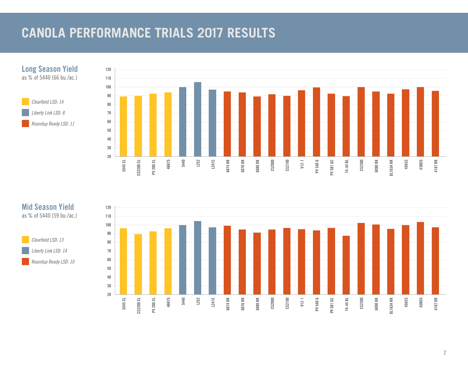#### **CANOLA PERFORMANCE TRIALS 2017 RESULTS**



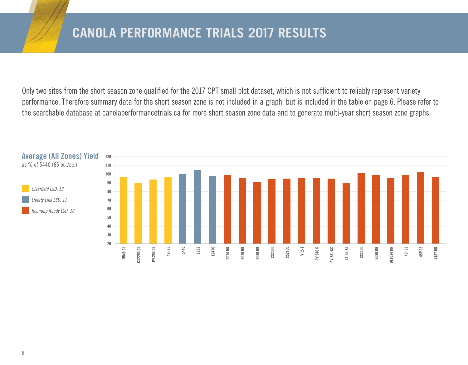Only two sites from the short season zone qualified for the 2017 CPT small plot dataset, which is not sufficient to reliably represent variety performance. Therefore summary data for the short season zone is not included in a graph, but is included in the table on page 6. Please refer to the searchable database at [canolaperformancetrials.ca](http://www.canolaperformancetrials.ca) for more short season zone data and to generate multi-year short season zone graphs.

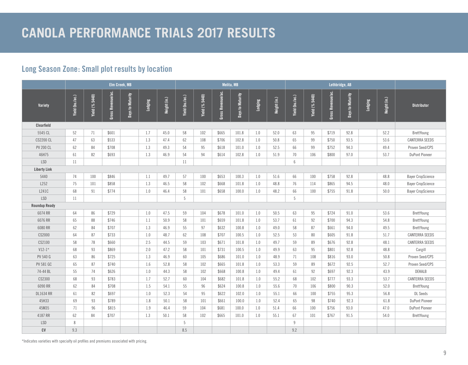#### **Long Season Zone: Small plot results by location**

|                      | Elm Creek, MB   |                |                   |                  |         |              | Melita, MB      |                |                   |                  |         | Lethbridge, AB |                 |                |                   |                  |         |              |                          |
|----------------------|-----------------|----------------|-------------------|------------------|---------|--------------|-----------------|----------------|-------------------|------------------|---------|----------------|-----------------|----------------|-------------------|------------------|---------|--------------|--------------------------|
| Variety              | Yield (bu./ac.) | Yield (% 5440) | Gross Revenue/ac. | Days to Maturity | Lodging | Height (in.) | Yield (bu./ac.) | Yield (% 5440) | Gross Revenue/ac. | Days to Maturity | Lodging | Height (in.)   | Yield (bu./ac.) | Yield (% 5440) | Gross Revenue/ac. | Days to Maturity | Lodging | Height (in.) | <b>Distributor</b>       |
| Clearfield           |                 |                |                   |                  |         |              |                 |                |                   |                  |         |                |                 |                |                   |                  |         |              |                          |
| 5545 CL              | 52              | 71             | \$601             |                  | 1.7     | 45.0         | 58              | 102            | \$665             | 101.8            | 1.0     | 52.0           | 63              | 95             | \$719             | 92.8             |         | 52.2         | BrettYoung               |
| <b>CS2200 CL</b>     | 47              | 63             | \$533             |                  | 1.3     | 47.4         | 62              | 108            | \$706             | 102.8            | 1.0     | 50.8           | 65              | 99             | \$750             | 93.5             |         | 53.6         | <b>CANTERRA SEEDS</b>    |
| <b>PV 200 CL</b>     | 62              | 84             | \$708             |                  | 1.3     | 49.3         | 54              | 95             | \$618             | 101.0            | 1.0     | 52.5           | 66              | 99             | \$752             | 94.3             |         | 49.4         | Proven Seed/CPS          |
| 46H75                | 61              | 82             | \$693             |                  | 1.3     | 46.9         | 54              | 94             | \$614             | 102.8            | 1.0     | 51.9           | 70              | 106            | \$800             | 97.0             |         | 53.7         | <b>DuPont Pioneer</b>    |
| <b>LSD</b>           | 11              |                |                   |                  |         |              | 11              |                |                   |                  |         |                | 6               |                |                   |                  |         |              |                          |
| <b>Liberty Link</b>  |                 |                |                   |                  |         |              |                 |                |                   |                  |         |                |                 |                |                   |                  |         |              |                          |
| 5440                 | 74              | 100            | \$846             |                  | 1.1     | 49.7         | 57              | 100            | \$653             | 100.3            | $1.0\,$ | 51.6           | 66              | 100            | \$758             | 92.8             |         | 48.8         | <b>Bayer CropScience</b> |
| L252                 | 75              | 101            | \$858             |                  | 1.3     | 46.5         | 58              | 102            | \$668             | 101.8            | 1.0     | 48.8           | 76              | 114            | \$865             | 94.5             |         | 48.0         | <b>Bayer CropScience</b> |
| L241C                | 68              | 91             | \$774             |                  | 1.0     | 46.4         | 58              | 101            | \$658             | 100.0            | 1.0     | 48.2           | 66              | 100            | \$755             | 91.8             |         | 50.0         | <b>Bayer CropScience</b> |
| <b>LSD</b>           | 11              |                |                   |                  |         |              | 5               |                |                   |                  |         |                | 5               |                |                   |                  |         |              |                          |
| <b>Roundup Ready</b> |                 |                |                   |                  |         |              |                 |                |                   |                  |         |                |                 |                |                   |                  |         |              |                          |
| 6074 RR              | 64              | 86             | \$729             |                  | 1.0     | 47.5         | 59              | 104            | \$678             | 101.0            | 1.0     | 50.5           | 63              | 95             | \$724             | 91.0             |         | 53.6         | BrettYoung               |
| 6076 RR              | 65              | 88             | \$746             |                  | 1.1     | 50.9         | 58              | 101            | \$659             | 101.8            | 1.0     | 53.7           | 61              | 92             | \$700             | 94.3             |         | 54.8         | BrettYoung               |
| 6080 RR              | 62              | 84             | \$707             |                  | 1.3     | 46.9         | 55              | 97             | \$632             | 100.8            | 1.0     | 49.0           | 58              | 87             | \$661             | 94.0             |         | 49.5         | BrettYoung               |
| CS2000               | 64              | 87             | \$733             |                  | 1.0     | 48.7         | 62              | 108            | \$707             | 100.5            | 1.0     | 52.5           | 53              | 80             | \$605             | 91.8             |         | 51.7         | <b>CANTERRA SEEDS</b>    |
| CS2100               | 58              | 78             | \$660             |                  | 2.5     | 44.5         | 59              | 103            | \$671             | 101.8            | 1.0     | 49.7           | 59              | 89             | \$676             | 92.8             |         | 48.1         | <b>CANTERRA SEEDS</b>    |
| $V12-1*$             | 68              | 93             | \$869             |                  | 2.0     | 47.2         | 58              | 101            | \$731             | 100.5            | 1.0     | 49.9           | 63              | 95             | \$801             | 92.8             |         | 48.8         | Cargill                  |
| PV 540 G             | 63              | 86             | \$725             |                  | 1.3     | 46.9         | 60              | 105            | \$686             | 101.0            | 1.0     | 48.9           | 71              | 108            | \$816             | 93.0             |         | 50.8         | Proven Seed/CPS          |
| <b>PV 581 GC</b>     | 65              | 87             | \$740             |                  | 1.6     | 52.8         | 58              | 102            | \$665             | 101.8            | 1.0     | 53.3           | 59              | 89             | \$672             | 92.5             |         | 52.7         | Proven Seed/CPS          |
| 74-44 BL             | 55              | 74             | \$626             |                  | 1.0     | 44.3         | 58              | 102            | \$668             | 100.8            | 1.0     | 49.4           | 61              | 92             | \$697             | 92.3             |         | 43.9         | DEKALB                   |
| CS2300               | 68              | 93             | \$783             |                  | 1.7     | 52.7         | 60              | 104            | \$682             | 101.8            | 1.0     | 55.2           | 68              | 102            | \$777             | 93.3             |         | 53.7         | <b>CANTERRA SEEDS</b>    |
| 6090 RR              | 62              | 84             | \$708             |                  | 1.5     | 54.1         | 55              | 96             | \$624             | 100.8            | 1.0     | 55.6           | 70              | 106            | \$800             | 90.3             |         | 52.0         | BrettYoung               |
| <b>DL1634 RR</b>     | 61              | 82             | \$697             |                  | 1.0     | 52.3         | 54              | 95             | \$622             | 102.0            | 1.0     | 55.1           | 66              | 100            | \$755             | 95.3             |         | 56.8         | <b>DL</b> Seeds          |
| 45H33                | 69              | 93             | \$789             |                  | 1.8     | 50.1         | 58              | 101            | \$661             | 100.0            | 1.0     | 52.4           | 65              | 98             | \$740             | 92.3             |         | 61.8         | <b>DuPont Pioneer</b>    |
| 45M35                | 71              | 96             | \$815             |                  | 1.9     | 46.4         | 59              | 104            | \$681             | 100.0            | 1.0     | 51.4           | 66              | 100            | \$756             | 93.0             |         | 47.0         | <b>DuPont Pioneer</b>    |
| 4187 RR              | 62              | 84             | \$707             |                  | 1.3     | 50.1         | 58              | 102            | \$665             | 101.0            | 1.0     | 55.1           | 67              | 101            | \$767             | 91.5             |         | 54.0         | BrettYoung               |
| <b>LSD</b>           | 8               |                |                   |                  |         |              | 5               |                |                   |                  |         |                | 9               |                |                   |                  |         |              |                          |
| CV                   | 9.3             |                |                   |                  |         |              | 8.5             |                |                   |                  |         |                | 9.2             |                |                   |                  |         |              |                          |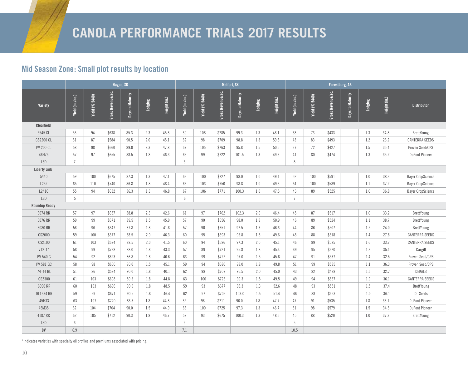#### **Mid Season Zone: Small plot results by location**

|                      | Hague, SK       |                |                      |                  |         |              | <b>Melfort, SK</b> |                |                   |                  |         | Forestburg, AB |                 |                |                   |                  |                  |              |                          |
|----------------------|-----------------|----------------|----------------------|------------------|---------|--------------|--------------------|----------------|-------------------|------------------|---------|----------------|-----------------|----------------|-------------------|------------------|------------------|--------------|--------------------------|
| Variety              | Yield (bu./ac.) | Yield (% 5440) | Revenue/ac.<br>Gross | Days to Maturity | Lodging | Height (in.) | Yield (bu./ac.)    | Yield (% 5440) | Gross Revenue/ac. | Days to Maturity | Lodging | Height (in.)   | Yield (bu./ac.) | Yield (% 5440) | Gross Revenue/ac. | Days to Maturity | Lodging          | Height (in.) | <b>Distributor</b>       |
| Clearfield           |                 |                |                      |                  |         |              |                    |                |                   |                  |         |                |                 |                |                   |                  |                  |              |                          |
| 5545 CL              | 56              | 94             | \$638                | 85.3             | 2.3     | 45.8         | 69                 | 108            | \$785             | 99.3             | 1.3     | 48.1           | 38              | 73             | \$433             |                  | 1.3              | 34.8         | BrettYoung               |
| <b>CS2200 CL</b>     | 51              | 87             | \$584                | 90.5             | 2.0     | 45.1         | 62                 | 98             | \$709             | 98.8             | 1.3     | 59.8           | 43              | 83             | \$493             |                  | 1.2              | 26.2         | <b>CANTERRA SEEDS</b>    |
| <b>PV 200 CL</b>     | 58              | 98             | \$660                | 89.0             | 2.3     | 47.8         | 67                 | 105            | \$763             | 95.8             | 1.5     | 50.5           | 37              | 72             | \$427             |                  | 1.5              | 35.4         | Proven Seed/CPS          |
| 46H75                | 57              | 97             | \$655                | 88.5             | 1.8     | 46.3         | 63                 | 99             | \$722             | 101.5            | 1.3     | 49.3           | 41              | 80             | \$474             |                  | 1.3              | 35.2         | <b>DuPont Pioneer</b>    |
| <b>LSD</b>           | $\overline{7}$  |                |                      |                  |         |              | 5                  |                |                   |                  |         |                | 8               |                |                   |                  |                  |              |                          |
| <b>Liberty Link</b>  |                 |                |                      |                  |         |              |                    |                |                   |                  |         |                |                 |                |                   |                  |                  |              |                          |
| 5440                 | 59              | 100            | \$675                | 87.3             | 1.3     | 47.1         | 63                 | 100            | \$727             | 98.0             | 1.0     | 49.1           | 52              | 100            | \$591             |                  | 1.0              | 38.3         | <b>Bayer CropScience</b> |
| L252                 | 65              | 110            | \$740                | 86.8             | 1.8     | 48.4         | 66                 | 103            | \$750             | 98.8             | 1.0     | 49.3           | 51              | 100            | \$589             |                  | 1.1              | 37.2         | <b>Bayer CropScience</b> |
| L241C                | 55              | 94             | \$632                | 86.3             | 1.3     | 46.8         | 67                 | 106            | \$771             | 100.3            | 1.0     | 47.5           | 46              | 89             | \$525             |                  | 1.0              | 36.8         | <b>Bayer CropScience</b> |
| <b>LSD</b>           | 5               |                |                      |                  |         |              | 6                  |                |                   |                  |         |                | $\overline{7}$  |                |                   |                  |                  |              |                          |
| <b>Roundup Ready</b> |                 |                |                      |                  |         |              |                    |                |                   |                  |         |                |                 |                |                   |                  |                  |              |                          |
| 6074 RR              | 57              | 97             | \$657                | 88.8             | 2.3     | 42.6         | 61                 | 97             | \$702             | 102.3            | 2.0     | 46.4           | 45              | 87             | \$517             |                  | 1.0              | 33.2         | BrettYoung               |
| 6076 RR              | 59              | 99             | \$671                | 89.5             | 1.5     | 45.9         | 57                 | 90             | \$656             | 98.0             | 1.8     | 50.9           | 46              | 89             | \$524             |                  | 1.1              | 38.7         | BrettYoung               |
| 6080 RR              | 56              | 96             | \$647                | 87.8             | 1.8     | 41.8         | 57                 | 90             | \$651             | 97.5             | 1.3     | 46.6           | 44              | 86             | \$507             |                  | 1.5              | 24.0         | BrettYoung               |
| CS2000               | 59              | 100            | \$677                | 88.5             | 2.0     | 46.3         | 60                 | 95             | \$693             | 95.8             | 1.8     | 49.6           | 45              | 88             | \$518             |                  | 1.4              | 27.8         | <b>CANTERRA SEEDS</b>    |
| CS2100               | 61              | 103            | \$694                | 88.5             | 2.0     | 41.5         | 60                 | 94             | \$686             | 97.3             | 2.0     | 45.1           | 46              | 89             | \$525             |                  | 1.6              | 33.7         | <b>CANTERRA SEEDS</b>    |
| $V12-1*$             | 58              | 99             | \$738                | 88.0             | 1.8     | 43.3         | 57                 | 89             | \$721             | 95.8             | 1.8     | 45.4           | 49              | 95             | \$620             |                  | 1.3              | 35.1         | Cargill                  |
| PV 540 G             | 54              | 92             | \$623                | 86.8             | 1.8     | 40.6         | 63                 | 99             | \$722             | 97.0             | 1.5     | 45.6           | 47              | 91             | \$537             |                  | 1.4              | 32.5         | Proven Seed/CPS          |
| <b>PV 581 GC</b>     | 58              | 98             | \$660                | 90.0             | 1.5     | 45.1         | 59                 | 94             | \$680             | 98.0             | 1.8     | 49.8           | 51              | 99             | \$585             |                  | 1.1              | 36.3         | Proven Seed/CPS          |
| 74-44 BL             | 51              | 86             | \$584                | 90.0             | 1.8     | 40.1         | 62                 | 98             | \$709             | 95.5             | 2.0     | 45.0           | 43              | 82             | \$488             |                  | $1.6\phantom{0}$ | 32.7         | DEKALB                   |
| CS2300               | 61              | 103            | \$698                | 89.5             | 1.8     | 44.8         | 63                 | 100            | \$726             | 99.3             | 1.5     | 49.5           | 49              | 94             | \$557             |                  | 1.0              | 36.1         | <b>CANTERRA SEEDS</b>    |
| 6090 RR              | 60              | 103            | \$693                | 90.0             | 1.8     | 48.5         | 59                 | 93             | \$677             | 98.3             | 1.3     | 52.6           | 48              | 93             | \$551             |                  | 1.5              | 37.4         | BrettYoung               |
| <b>DL1634 RR</b>     | 59              | 99             | \$671                | 90.5             | 1.8     | 46.4         | 62                 | 97             | \$706             | 103.0            | 1.5     | 51.4           | 46              | 88             | \$523             |                  | 1.0              | 36.1         | <b>DL</b> Seeds          |
| 45H33                | 63              | 107            | \$720                | 86.3             | 1.8     | 44.8         | 62                 | 98             | \$711             | 96.0             | 1.8     | 47.7           | 47              | 91             | \$535             |                  | 1.8              | 36.1         | <b>DuPont Pioneer</b>    |
| 45M35                | 62              | 104            | \$704                | 90.0             | 1.5     | 44.9         | 63                 | 100            | \$725             | 97.3             | 1.3     | 46.7           | 51              | 98             | \$579             |                  | 1.5              | 34.5         | <b>DuPont Pioneer</b>    |
| 4187 RR              | 62              | 105            | \$712                | 90.3             | 1.8     | 46.7         | 59                 | 93             | \$675             | 100.3            | 1.3     | 48.6           | 45              | 88             | \$520             |                  | 1.0              | 37.3         | <b>BrettYoung</b>        |
| <b>LSD</b>           | 6               |                |                      |                  |         |              | 5                  |                |                   |                  |         |                | 5               |                |                   |                  |                  |              |                          |
| CV                   | 6.9             |                |                      |                  |         |              | 7.1                |                |                   |                  |         |                | 10.5            |                |                   |                  |                  |              |                          |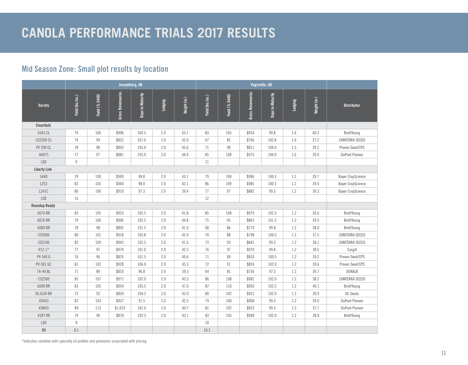#### **Mid Season Zone: Small plot results by location**

|                      | Josephburg, AB  |                       |                   |                  |         |              |                 |                       |                   |                  |         |              |                          |
|----------------------|-----------------|-----------------------|-------------------|------------------|---------|--------------|-----------------|-----------------------|-------------------|------------------|---------|--------------|--------------------------|
| Variety              | Yield (bu./ac.) | <b>Yield (% 5440)</b> | Gross Revenue/ac. | Days to Maturity | Lodging | Height (in.) | Yield (bu./ac.) | <b>Yield (% 5440)</b> | Gross Revenue/ac. | Days to Maturity | Lodging | Height (in.) | <b>Distributor</b>       |
| Clearfield           |                 |                       |                   |                  |         |              |                 |                       |                   |                  |         |              |                          |
| 5545 CL              | 79              | 100                   | \$908             | 104.5            | 2.0     | 43.1         | 83              | 105                   | \$954             | 99.8             | 1.6     | 40.3         | BrettYoung               |
| <b>CS2200 CL</b>     | 74              | 94                    | \$852             | 107.0            | 2.0     | 43.0         | 67              | 85                    | \$766             | 102.8            | 1.6     | 37.2         | <b>CANTERRA SEEDS</b>    |
| <b>PV 200 CL</b>     | 78              | 98                    | \$893             | 105.0            | 2.0     | 43.6         | 71              | 90                    | \$811             | 104.0            | 1.5     | 39.2         | Proven Seed/CPS          |
| 46H75                | 77              | 97                    | \$881             | 105.0            | 2.0     | 44.4         | 85              | 108                   | \$975             | 104.0            | 1.6     | 39.0         | DuPont Pioneer           |
| <b>LSD</b>           | $\overline{9}$  |                       |                   |                  |         |              | 11              |                       |                   |                  |         |              |                          |
| <b>Liberty Link</b>  |                 |                       |                   |                  |         |              |                 |                       |                   |                  |         |              |                          |
| 5440                 | 79              | 100                   | \$909             | 99.8             | 2.0     | 43.1         | 79              | 100                   | \$906             | 100.3            | 1.2     | 39.7         | <b>Bayer CropScience</b> |
| L252                 | 82              | 103                   | \$940             | 98.0             | 2.0     | 42.1         | 86              | 109                   | \$985             | 100.3            | 1.2     | 39.0         | <b>Bayer CropScience</b> |
| L241C                | 80              | 100                   | \$910             | 97.3             | 2.0     | 39.4         | 77              | 97                    | \$882             | 99.3             | 1.2     | 39.3         | <b>Bayer CropScience</b> |
| <b>LSD</b>           | 16              |                       |                   |                  |         |              | 12              |                       |                   |                  |         |              |                          |
| <b>Roundup Ready</b> |                 |                       |                   |                  |         |              |                 |                       |                   |                  |         |              |                          |
| 6074 RR              | 83              | 105                   | \$953             | 105.5            | 2.0     | 41.8         | 85              | 108                   | \$979             | 102.5            | 1.2     | 36.6         | BrettYoung               |
| 6076 RR              | 79              | 100                   | \$906             | 102.5            | 2.0     | 44.8         | 75              | 95                    | \$863             | 101.5            | 1.2     | 39.5         | BrettYoung               |
| 6080 RR              | 78              | 98                    | \$892             | 101.5            | 2.0     | 41.0         | 68              | 86                    | \$779             | 99.8             | 1.2     | 38.0         | BrettYoung               |
| CS2000               | 80              | 101                   | \$918             | 105.8            | 2.0     | 45.9         | 70              | 88                    | \$798             | 100.5            | 1.2     | 37.5         | <b>CANTERRA SEEDS</b>    |
| CS2100               | 82              | 104                   | \$943             | 102.5            | 2.0     | 41.6         | 73              | 93                    | \$841             | 99.3             | 1.2     | 38.1         | <b>CANTERRA SEEDS</b>    |
| $V12-1*$             | 77              | 97                    | \$974             | 101.0            | 2.0     | 42.3         | 76              | 97                    | \$970             | 99.8             | 1.2     | 38.5         | Cargill                  |
| PV 540 G             | 76              | 96                    | \$876             | 101.5            | 2.0     | 40.6         | 71              | 89                    | \$810             | 100.5            | 1.2     | 39.2         | Proven Seed/CPS          |
| <b>PV 581 GC</b>     | 81              | 102                   | \$928             | 106.0            | 2.0     | 45.3         | 72              | 91                    | \$824             | 102.0            | 1.2     | 39.6         | Proven Seed/CPS          |
| 74-44 BL             | 71              | 89                    | \$810             | 96.8             | 2.0     | 39.3         | 64              | 81                    | \$736             | 97.5             | 1.2     | 36.7         | DEKALB                   |
| CS2300               | 85              | 107                   | \$971             | 102.0            | 2.0     | 43.3         | 86              | 108                   | \$981             | 102.0            | 1.2     | 38.2         | <b>CANTERRA SEEDS</b>    |
| 6090 RR              | 83              | 105                   | \$954             | 105.5            | 2.0     | 47.0         | 87              | 110                   | \$993             | 102.5            | 1.2     | 40.1         | BrettYoung               |
| <b>DL1634 RR</b>     | 73              | 92                    | \$839             | 104.3            | 2.0     | 43.0         | 80              | 102                   | \$921             | 102.0            | 1.2     | 39.9         | <b>DL</b> Seeds          |
| 45H33                | 82              | 103                   | \$937             | 97.5             | 2.0     | 42.5         | 79              | 100                   | \$908             | 99.3             | 1.2     | 39.0         | <b>DuPont Pioneer</b>    |
| 45M35                | 89              | 112                   | \$1,019           | 101.0            | 2.0     | 40.7         | 81              | 102                   | \$923             | 99.5             | 1.2     | 37.7         | <b>DuPont Pioneer</b>    |
| 4187 RR              | 76              | 96                    | \$870             | 102.3            | 2.0     | 43.1         | 83              | 105                   | \$948             | 102.0            | 1.2     | 38.8         | BrettYoung               |
| <b>LSD</b>           | $\,8\,$         |                       |                   |                  |         |              | $10\,$          |                       |                   |                  |         |              |                          |
| CV                   | 8.1             |                       |                   |                  |         |              | 10.3            |                       |                   |                  |         |              |                          |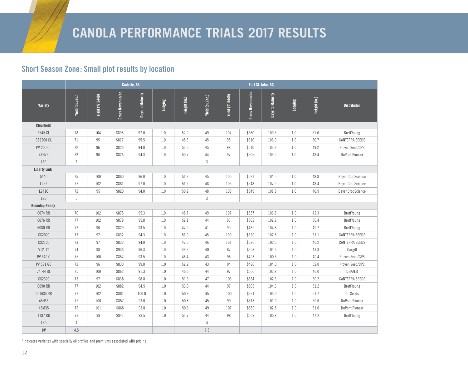#### **Short Season Zone: Small plot results by location**

|                      | Codette, SK     |                |                   |                  |         |              |                 |                       |                   |                  |         |              |                          |
|----------------------|-----------------|----------------|-------------------|------------------|---------|--------------|-----------------|-----------------------|-------------------|------------------|---------|--------------|--------------------------|
| Variety              | Yield (bu./ac.) | Yield (% 5440) | Gross Revenue/ac. | Days to Maturity | Lodging | Height (in.) | Yield (bu./ac.) | <b>Yield (% 5440)</b> | Gross Revenue/ac. | Days to Maturity | Lodging | Height (in.) | <b>Distributor</b>       |
| Clearfield           |                 |                |                   |                  |         |              |                 |                       |                   |                  |         |              |                          |
| 5545 CL              | 78              | 104            | \$898             | 97.0             | 1.0     | 52.9         | 49              | 107                   | \$560             | 100.5            | 1.0     | 51.6         | BrettYoung               |
| <b>CS2200 CL</b>     | 71              | 95             | \$817             | 95.5             | 1.0     | 48.3         | 45              | 98                    | \$510             | 106.0            | 1.0     | 50.7         | <b>CANTERRA SEEDS</b>    |
| <b>PV 200 CL</b>     | 72              | 96             | \$825             | 94.0             | 1.0     | 53.0         | 45              | 98                    | \$510             | 103.3            | 1.0     | 49.2         | Proven Seed/CPS          |
| 46H75                | 72              | 96             | \$826             | 94.3             | 1.0     | 50.7         | 44              | 97                    | \$505             | 103.0            | 1.0     | 48.4         | <b>DuPont Pioneer</b>    |
| <b>LSD</b>           | $\overline{7}$  |                |                   |                  |         |              | $\mathfrak{Z}$  |                       |                   |                  |         |              |                          |
| <b>Liberty Link</b>  |                 |                |                   |                  |         |              |                 |                       |                   |                  |         |              |                          |
| 5440                 | 75              | 100            | \$860             | 96.0             | 1.0     | 51.3         | 45              | 100                   | \$521             | 104.5            | 1.0     | 48.8         | <b>Bayer CropScience</b> |
| L252                 | 77              | 102            | \$881             | 97.0             | 1.0     | 51.2         | 48              | 105                   | \$548             | 107.0            | 1.0     | 48.4         | <b>Bayer CropScience</b> |
| L241C                | 72              | 95             | \$820             | 94.0             | 1.0     | 50.2         | 48              | 105                   | \$549             | 101.8            | 1.0     | 46.9         | <b>Bayer CropScience</b> |
| <b>LSD</b>           | 5               |                |                   |                  |         |              | 3               |                       |                   |                  |         |              |                          |
| <b>Roundup Ready</b> |                 |                |                   |                  |         |              |                 |                       |                   |                  |         |              |                          |
| 6074 RR              | 76              | 102            | \$875             | 95.3             | 1.0     | 48.7         | 49              | 107                   | \$557             | 106.8            | 1.0     | 42.3         | BrettYoung               |
| 6076 RR              | 77              | 102            | \$878             | 95.8             | 1.0     | 52.1         | 44              | 96                    | \$502             | 102.8            | 1.0     | 50.4         | BrettYoung               |
| 6080 RR              | 72              | 96             | \$829             | 93.5             | 1.0     | 47.0         | 41              | 90                    | \$469             | 104.8            | 1.0     | 49.7         | BrettYoung               |
| CS2000               | 73              | 97             | \$832             | 94.3             | 1.0     | 51.9         | 45              | 100                   | \$520             | 102.8            | 1.0     | 51.1         | <b>CANTERRA SEEDS</b>    |
| CS2100               | 73              | 97             | \$832             | 94.0             | 1.0     | 47.6         | 46              | 101                   | \$526             | 102.5            | 1.0     | 46.2         | <b>CANTERRA SEEDS</b>    |
| $V12-1*$             | 74              | 98             | \$936             | 96.3             | 1.0     | 49.3         | 40              | 87                    | \$503             | 101.5            | 1.0     | 43.8         | Cargill                  |
| PV 540 G             | 75              | 100            | \$857             | 93.5             | 1.0     | 46.4         | 43              | 95                    | \$493             | 100.5            | 1.0     | 49.4         | Proven Seed/CPS          |
| <b>PV 581 GC</b>     | 72              | 96             | \$830             | 99.0             | 1.0     | 52.2         | 43              | 94                    | \$490             | 104.0            | 1.0     | 52.0         | Proven Seed/CPS          |
| 74-44 BL             | 75              | 100            | \$862             | 91.3             | 1.0     | 45.5         | 44              | 97                    | \$506             | 103.8            | 1.0     | 46.0         | DEKALB                   |
| CS2300               | 73              | 97             | \$838             | 98.8             | 1.0     | 51.6         | 47              | 103                   | \$534             | 102.3            | 1.0     | 50.2         | <b>CANTERRA SEEDS</b>    |
| 6090 RR              | 77              | 102            | \$882             | 94.5             | 1.0     | 53.0         | 44              | 97                    | \$503             | 104.3            | 1.0     | 51.2         | BrettYoung               |
| <b>DL1634 RR</b>     | 77              | 102            | \$881             | 100.0            | 1.0     | 50.9         | 45              | 100                   | \$521             | 103.0            | 1.0     | 51.7         | <b>DL</b> Seeds          |
| 45H33                | 75              | 100            | \$857             | 93.0             | 1.0     | 50.8         | 45              | 99                    | \$517             | 101.0            | 1.0     | 50.6         | <b>DuPont Pioneer</b>    |
| 45M35                | 76              | 101            | \$868             | 93.8             | 1.0     | 50.6         | 49              | 107                   | \$559             | 102.8            | 1.0     | 51.0         | <b>DuPont Pioneer</b>    |
| 4187 RR              | 73              | 98             | \$841             | 98.5             | 1.0     | 51.7         | 44              | 98                    | \$509             | 105.8            | 1.0     | 47.2         | BrettYoung               |
| <b>LSD</b>           | $\overline{4}$  |                |                   |                  |         |              | 4               |                       |                   |                  |         |              |                          |
| CV                   | 4.5             |                |                   |                  |         |              | 7.5             |                       |                   |                  |         |              |                          |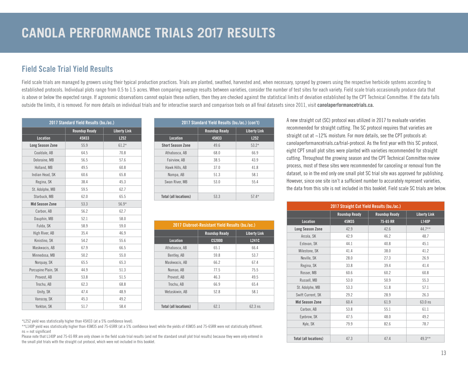#### **Field Scale Trial Yield Results**

Field scale trials are managed by growers using their typical production practices. Trials are planted, swathed, harvested and, when necessary, sprayed by growers using the respective herbicide systems according to established protocols. Individual plots range from 0.5 to 1.5 acres. When comparing average results between varieties, consider the number of test sites for each variety. Field scale trials occasionally produce data that is above or below the expected range. If agronomic observations cannot explain these outliers, then they are checked against the statistical limits of deviation established by the CPT Technical Committee. If the data falls outside the limits, it is removed. For more details on individual trials and for interactive search and comparison tools on all final datasets since 2011, visit **[canolaperformancetrials.ca](http://www.canolaperformancetrials.ca).**

|                         | 2017 Standard Yield Results (bu./ac.) |                     |
|-------------------------|---------------------------------------|---------------------|
|                         | <b>Roundup Ready</b>                  | <b>Liberty Link</b> |
| <b>Location</b>         | 45H33                                 | L252                |
| <b>Long Season Zone</b> | 55.9                                  | $61.2*$             |
| Coaldale, AB            | 64.5                                  | 70.8                |
| Deloraine, MB           | 56.5                                  | 57.6                |
| Holland, MB             | 49.5                                  | 60.8                |
| Indian Head, SK         | 60.6                                  | 65.8                |
| Regina, SK              | 38.4                                  | 45.3                |
| St. Adolphe, MB         | 59.5                                  | 62.7                |
| Starbuck, MB            | 62.0                                  | 65.5                |
| <b>Mid Season Zone</b>  | 53.3                                  | $56.9*$             |
| Carbon, AB              | 56.2                                  | 62.7                |
| Dauphin, MB             | 52.1                                  | 58.0                |
| Fulda, SK               | 58.9                                  | 59.0                |
| High River, AB          | 35.4                                  | 46.9                |
| Kinistino, SK           | 54.2                                  | 55.6                |
| Maskwacis, AB           | 67.9                                  | 66.5                |
| Minnedosa, MB           | 50.2                                  | 55.0                |
| Norguay, SK             | 65.5                                  | 65.3                |
| Porcupine Plain, SK     | 44.9                                  | 51.3                |
| Provost, AB             | 53.8                                  | 51.5                |
| Trochu, AB              | 62.3                                  | 68.8                |
| Unity, SK               | 47.4                                  | 48.9                |
| Vanscoy, SK             | 45.3                                  | 49.2                |
| Yorkton, SK             | 51.7                                  | 58.4                |

|                              | 2017 Standard Yield Results (bu./ac.) (con't) |                     |  |  |  |  |  |  |  |  |  |
|------------------------------|-----------------------------------------------|---------------------|--|--|--|--|--|--|--|--|--|
|                              | <b>Roundup Ready</b>                          | <b>Liberty Link</b> |  |  |  |  |  |  |  |  |  |
| <b>Location</b>              | 45H33                                         | L252                |  |  |  |  |  |  |  |  |  |
| <b>Short Season Zone</b>     | 49.6                                          | $53.2*$             |  |  |  |  |  |  |  |  |  |
| Athabasca, AB                | 68.0                                          | 66.9                |  |  |  |  |  |  |  |  |  |
| Fairview, AB                 | 38.5                                          | 43.9                |  |  |  |  |  |  |  |  |  |
| Hawk Hills, AB               | 37.0                                          | 41.8                |  |  |  |  |  |  |  |  |  |
| Nampa, AB                    | 51.3                                          | 58.1                |  |  |  |  |  |  |  |  |  |
| Swan River, MB               | 53.0                                          | 55.4                |  |  |  |  |  |  |  |  |  |
|                              |                                               |                     |  |  |  |  |  |  |  |  |  |
| <b>Total (all locations)</b> | 53.3                                          | $57.4*$             |  |  |  |  |  |  |  |  |  |

|                              | 2017 Clubroot-Resistant Yield Results (bu./ac.) |                     |
|------------------------------|-------------------------------------------------|---------------------|
|                              | <b>Roundup Ready</b>                            | <b>Liberty Link</b> |
| <b>Location</b>              | <b>CS2000</b>                                   | L241C               |
| Athabasca, AB                | 65.1                                            | 66.4                |
| Bentley, AB                  | 59.8                                            | 53.7                |
| Maskwacis, AB                | 66.2                                            | 67.4                |
| Namao, AB                    | 77.5                                            | 75.5                |
| Provost, AB                  | 46.3                                            | 49.5                |
| Trochu, AB                   | 66.9                                            | 65.4                |
| Wetaskiwin, AB               | 52.8                                            | 58.1                |
|                              |                                                 |                     |
| <b>Total (all locations)</b> | 62.1                                            | $62.3$ ns           |

\*L252 yield was statistically higher than 45H33 (at a 5% confidence level).

\*\*L140P yield was statistically higher than 45M35 and 75-65RR (at a 5% confidence level) while the yields of 45M35 and 75-65RR were not statistically different.  $ns = not$  significant

Please note that L140P and 75-65 RR are only shown in the field scale trial results (and not the standard small plot trial results) because they were only entered in the small plot trials with the straight cut protocol, which were not included in this booklet.

A new straight cut (SC) protocol was utilized in 2017 to evaluate varieties recommended for straight cutting. The SC protocol requires that varieties are straight cut at ~12% moisture. For more details, see the CPT protocols at: canolaperformancetrials.ca/trial-protocol. As the first year with this SC protocol, eight CPT small plot sites were planted with varieties recommended for straight cutting. Throughout the growing season and the CPT Technical Committee review process, most of these sites were recommended for canceling or removal from the dataset, so in the end only one small plot SC trial site was approved for publishing. However, since one site isn't a sufficient number to accurately represent varieties, the data from this site is not included in this booklet. Field scale SC trials are below.

| 2017 Straight Cut Yield Results (bu./ac.) |                      |                      |                     |  |  |  |  |  |  |  |
|-------------------------------------------|----------------------|----------------------|---------------------|--|--|--|--|--|--|--|
|                                           | <b>Roundup Ready</b> | <b>Roundup Ready</b> | <b>Liberty Link</b> |  |  |  |  |  |  |  |
| <b>Location</b>                           | 45M35                | 75-65 RR             | <b>L140P</b>        |  |  |  |  |  |  |  |
| <b>Long Season Zone</b>                   | 42.9                 | 42.6                 | $44.7**$            |  |  |  |  |  |  |  |
| Arcola, SK                                | 42.9                 | 46.2                 | 48.7                |  |  |  |  |  |  |  |
| Estevan, SK                               | 44.1                 | 40.8                 | 45.1                |  |  |  |  |  |  |  |
| Milestone, SK                             | 41.4                 | 38.0                 | 41.2                |  |  |  |  |  |  |  |
| Neville, SK                               | 28.0                 | 27.3                 | 26.9                |  |  |  |  |  |  |  |
| Regina, SK                                | 33.8                 | 39.4                 | 41.4                |  |  |  |  |  |  |  |
| Rosser, MB                                | 60.6                 | 60.2                 | 60.8                |  |  |  |  |  |  |  |
| Russell, MB                               | 53.0                 | 50.9                 | 55.3                |  |  |  |  |  |  |  |
| St. Adolphe, MB                           | 53.3                 | 51.8                 | 57.1                |  |  |  |  |  |  |  |
| Swift Current, SK                         | 29.2                 | 28.9                 | 26.3                |  |  |  |  |  |  |  |
| <b>Mid Season Zone</b>                    | 60.4                 | 61.9                 | 63.0 ns             |  |  |  |  |  |  |  |
| Carbon, AB                                | 53.8                 | 55.1                 | 61.1                |  |  |  |  |  |  |  |
| Eyebrow, SK                               | 47.5                 | 48.0                 | 49.2                |  |  |  |  |  |  |  |
| Kyle, SK                                  | 79.9                 | 82.6                 | 78.7                |  |  |  |  |  |  |  |
|                                           |                      |                      |                     |  |  |  |  |  |  |  |
| <b>Total (all locations)</b>              | 47.3                 | 47.4                 | $49.3***$           |  |  |  |  |  |  |  |